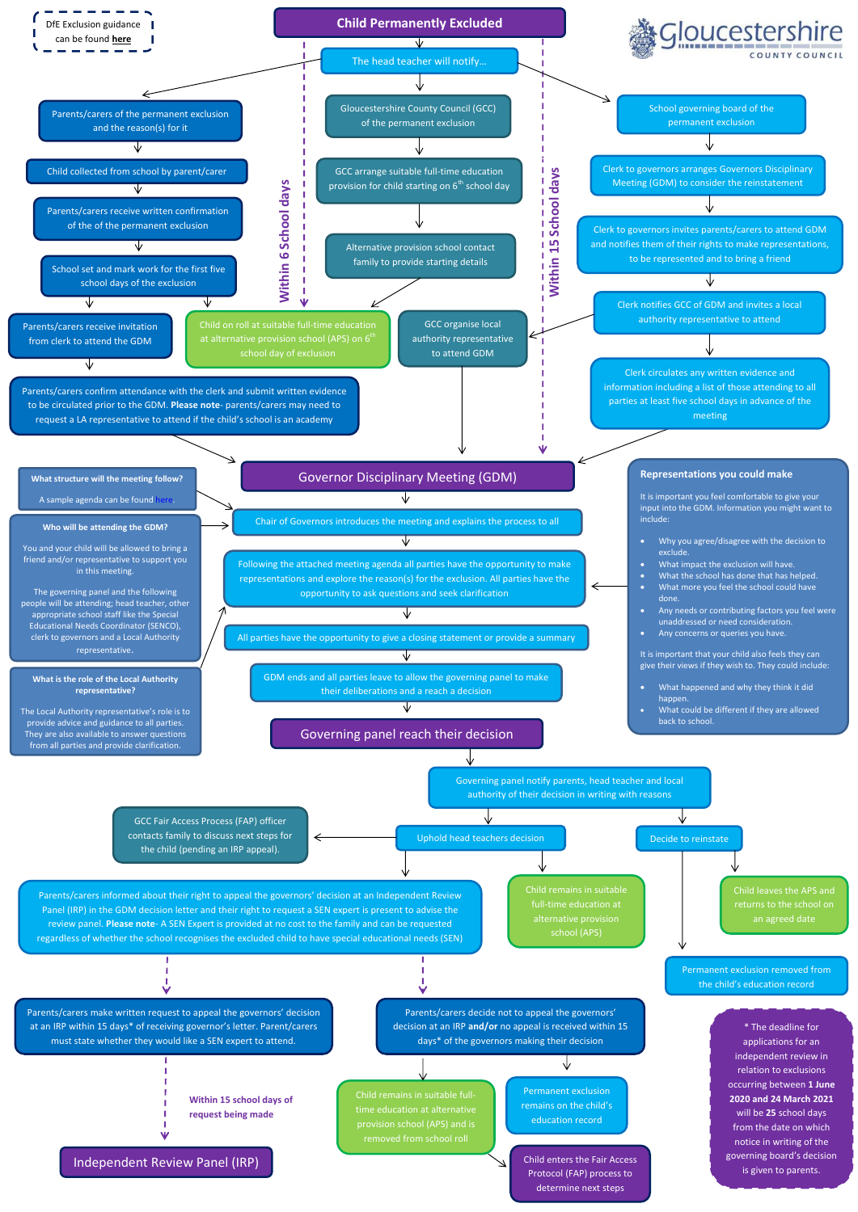**Within 15 school days of request being made**



full-time education at

school (APS)

Permanent exclusion removed from the child's education record

Independent Review Panel (IRP)

÷. ν

Parents/carers decide not to appeal the governors' decision at an IRP **and/or** no appeal is received within 15 days\* of the governors making their decision

Panel (IRP) in the GDM decision letter and their right to request a SEN expert is present to advise the

review panel. **Please note**- A SEN Expert is provided at no cost to the family and can be requested regardless of whether the school recognises the excluded child to have special educational needs (SEN)

> Permanent exclusion remains on the child's education record

↓

Parents/carers make written request to appeal the governors' decision at an IRP within 15 days\* of receiving governor's letter. Parent/carers must state whether they would like a SEN expert to attend.

J. п v

> \* The deadline for applications for an independent review in relation to exclusions occurring between **1 June 2020 and 24 March 2021**  will be **25** school days from the date on which notice in writing of the governing board's decision is given to parents.

Child enters the Fair Access Protocol (FAP) process to determine next steps